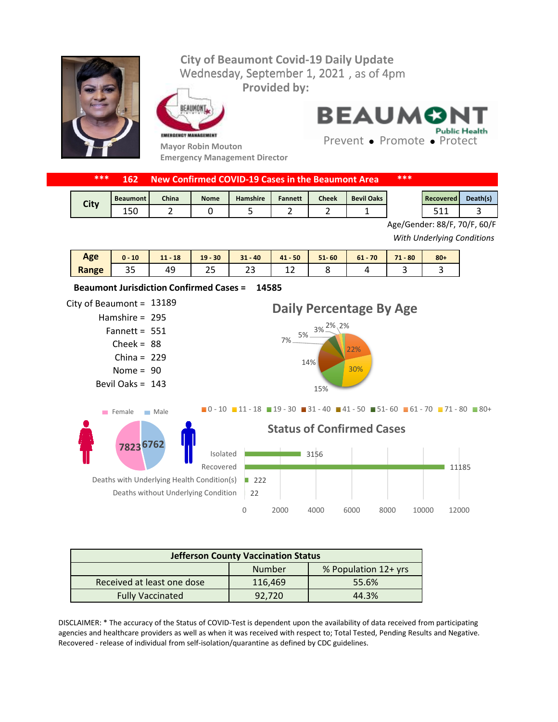## Wednesday, September 1, 2021, as of 4pm **City of Beaumont Covid-19 Daily Update Provided by:**



EAUMONT



**14585 Beaumont Jurisdiction Confirmed Cases =** 

**Emergency Management Director**

**BEAUMON Public Health** 

Prevent • Promote • Protect

| *** |  | <b>162 New Confirmed COVID-19 Cases in the Beaumont Area.</b> | *** |
|-----|--|---------------------------------------------------------------|-----|
|-----|--|---------------------------------------------------------------|-----|

| <b>City</b><br>いい | <b>Beaumont</b> | <b>China</b> | <b>Nome</b> | <b>Hamshire</b> | <b>Fannett</b> | $Check$ | <b>Bevil Oaks</b> | Recovered | Death(s) |
|-------------------|-----------------|--------------|-------------|-----------------|----------------|---------|-------------------|-----------|----------|
|                   | ⊥טט             |              |             |                 |                |         |                   | -44<br>-- |          |

Age/Gender: 88/F, 70/F, 60/F

*With Underlying Conditions*

| <b>Age</b> | 10<br>$\mathbf{0}$ | 18<br> | $-30$<br>19 | $31 - 40$ | $41 - 50$   | $51 - 60$ | 70<br>$61 -$ | 71<br>$-80$              | $80 +$ |
|------------|--------------------|--------|-------------|-----------|-------------|-----------|--------------|--------------------------|--------|
| Range      | ر ر                | ᠇      | ر ے         | ີ<br>بے   | $\sim$<br>∸ |           |              | $\overline{\phantom{0}}$ |        |

## City of Beaumont =  $13189$ Hamshire = 295 Fannett =  $551$ 88 Cheek = China =  $229$ Nome =  $90$ Bevil Oaks = 143 22  $\blacksquare$  222 11185 3156 0 2000 4000 6000 8000 10000 12000 Deaths without Underlying Condition Deaths with Underlying Health Condition(s) Recovered Isolated **Status of Confirmed Cases** 22% 30% 15% 14% 7% 5% 3% 2% 2% **Daily Percentage By Age**  $\blacksquare$ 0 - 10  $\blacksquare$  11 - 18  $\blacksquare$  19 - 30  $\blacksquare$  31 - 40  $\blacksquare$  41 - 50  $\blacksquare$  51 - 60  $\blacksquare$  61 - 70  $\blacksquare$  71 - 80  $\blacksquare$  80 + **6762 7823** Female Male

| <b>Jefferson County Vaccination Status</b> |         |                      |  |  |  |  |
|--------------------------------------------|---------|----------------------|--|--|--|--|
|                                            | Number  | % Population 12+ yrs |  |  |  |  |
| Received at least one dose                 | 116,469 | 55.6%                |  |  |  |  |
| <b>Fully Vaccinated</b>                    | 92.720  | 44.3%                |  |  |  |  |

DISCLAIMER: \* The accuracy of the Status of COVID-Test is dependent upon the availability of data received from participating agencies and healthcare providers as well as when it was received with respect to; Total Tested, Pending Results and Negative. Recovered - release of individual from self-isolation/quarantine as defined by CDC guidelines.